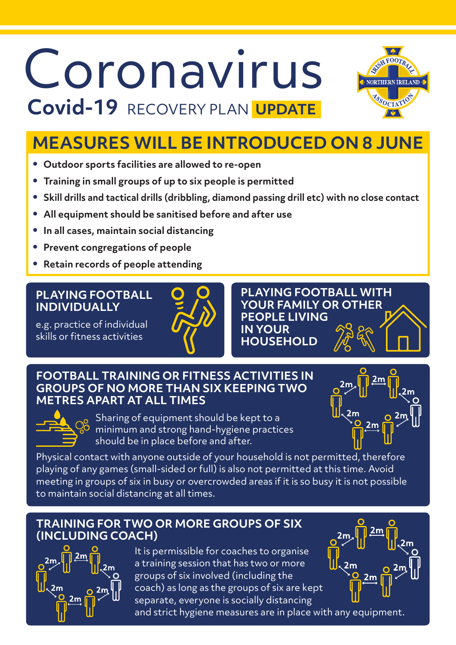# Coronavirus  **Covid-19** RECOVERY PLAN **UPDATE**



### **MEASURES WILL BE INTRODUCED ON 8 JUNE**

- **• Outdoor sports facilities are allowed to re-open**
- **• Training in small groups of up to six people is permitted**
- **• Skill drills and tactical drills (dribbling, diamond passing drill etc) with no close contact**
- **• All equipment should be sanitised before and after use**
- **• In all cases, maintain social distancing**
- **• Prevent congregations of people**
- **• Retain records of people attending**

#### **PLAYING FOOTBALL INDIVIDUALLY**

e.g. practice of individual skills or fitness activities



**PLAYING FOOTBALL WITH YOUR FAMILY OR OTHER PEOPLE LIVING IN YOUR HOUSEHOLD**

#### **FOOTBALL TRAINING OR FITNESS ACTIVITIES IN GROUPS OF NO MORE THAN SIX KEEPING TWO METRES APART AT ALL TIMES**



Sharing of equipment should be kept to a minimum and strong hand-hygiene practices should be in place before and after.

 $2m$ 

Physical contact with anyone outside of your household is not permitted, therefore playing of any games (small-sided or full) is also not permitted at this time. Avoid meeting in groups of six in busy or overcrowded areas if it is so busy it is not possible to maintain social distancing at all times.

### **TRAINING FOR TWO OR MORE GROUPS OF SIX (INCLUDING COACH)**



It is permissible for coaches to organise a training session that has two or more groups of six involved (including the coach) as long as the groups of six are kept separate, everyone is socially distancing



and strict hygiene measures are in place with any equipment.